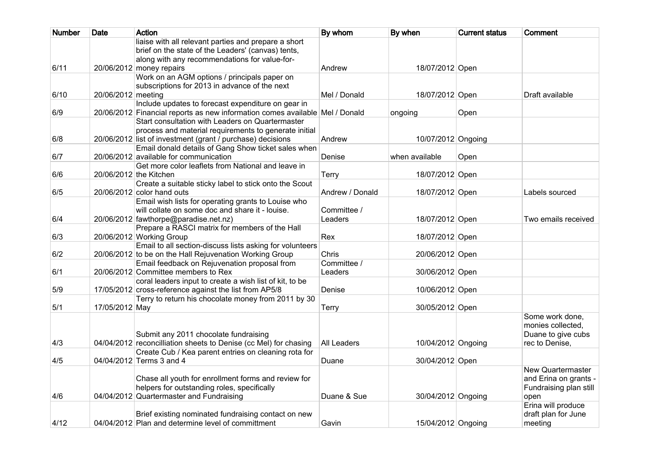| <b>Number</b> | <b>Date</b>        | <b>Action</b>                                                                | By whom         | By when            | <b>Current status</b> | Comment                |
|---------------|--------------------|------------------------------------------------------------------------------|-----------------|--------------------|-----------------------|------------------------|
|               |                    | liaise with all relevant parties and prepare a short                         |                 |                    |                       |                        |
|               |                    | brief on the state of the Leaders' (canvas) tents,                           |                 |                    |                       |                        |
|               |                    | along with any recommendations for value-for-                                |                 |                    |                       |                        |
| 6/11          |                    | $20/06/2012$ money repairs                                                   | Andrew          | 18/07/2012 Open    |                       |                        |
|               |                    | Work on an AGM options / principals paper on                                 |                 |                    |                       |                        |
|               |                    | subscriptions for 2013 in advance of the next                                |                 |                    |                       |                        |
| 6/10          | 20/06/2012 meeting |                                                                              | Mel / Donald    | 18/07/2012 Open    |                       | Draft available        |
|               |                    | Include updates to forecast expenditure on gear in                           |                 |                    |                       |                        |
| 6/9           |                    | 20/06/2012 Financial reports as new information comes available Mel / Donald |                 | ongoing            | Open                  |                        |
|               |                    | Start consultation with Leaders on Quartermaster                             |                 |                    |                       |                        |
|               |                    | process and material requirements to generate initial                        |                 |                    |                       |                        |
| 6/8           |                    | 20/06/2012 list of investment (grant / purchase) decisions                   | Andrew          | 10/07/2012 Ongoing |                       |                        |
|               |                    | Email donald details of Gang Show ticket sales when                          |                 |                    |                       |                        |
| 6/7           |                    | 20/06/2012 available for communication                                       | Denise          | when available     | Open                  |                        |
|               |                    | Get more color leaflets from National and leave in                           |                 |                    |                       |                        |
| 6/6           |                    | 20/06/2012 the Kitchen                                                       | <b>Terry</b>    | 18/07/2012 Open    |                       |                        |
|               |                    | Create a suitable sticky label to stick onto the Scout                       |                 |                    |                       |                        |
| 6/5           |                    | 20/06/2012 color hand outs                                                   | Andrew / Donald | 18/07/2012 Open    |                       | Labels sourced         |
|               |                    | Email wish lists for operating grants to Louise who                          |                 |                    |                       |                        |
|               |                    | will collate on some doc and share it - louise.                              | Committee /     |                    |                       |                        |
| 6/4           |                    | 20/06/2012 fawthorpe@paradise.net.nz)                                        | Leaders         | 18/07/2012 Open    |                       | Two emails received    |
|               |                    | Prepare a RASCI matrix for members of the Hall                               |                 |                    |                       |                        |
| 6/3           |                    | 20/06/2012 Working Group                                                     | Rex             | 18/07/2012 Open    |                       |                        |
|               |                    | Email to all section-discuss lists asking for volunteers                     |                 |                    |                       |                        |
| 6/2           |                    | 20/06/2012 to be on the Hall Rejuvenation Working Group                      | Chris           | 20/06/2012 Open    |                       |                        |
|               |                    | Email feedback on Rejuvenation proposal from                                 | Committee /     |                    |                       |                        |
| 6/1           |                    | 20/06/2012 Committee members to Rex                                          | Leaders         | 30/06/2012 Open    |                       |                        |
|               |                    | coral leaders input to create a wish list of kit, to be                      |                 |                    |                       |                        |
| 5/9           |                    | 17/05/2012 cross-reference against the list from AP5/8                       | Denise          | 10/06/2012 Open    |                       |                        |
|               |                    | Terry to return his chocolate money from 2011 by 30                          |                 |                    |                       |                        |
| 5/1           | 17/05/2012 May     |                                                                              | <b>Terry</b>    | 30/05/2012 Open    |                       |                        |
|               |                    |                                                                              |                 |                    |                       | Some work done,        |
|               |                    |                                                                              |                 |                    |                       | monies collected.      |
|               |                    | Submit any 2011 chocolate fundraising                                        |                 |                    |                       | Duane to give cubs     |
| 4/3           |                    | 04/04/2012 reconcilliation sheets to Denise (cc Mel) for chasing             | All Leaders     | 10/04/2012 Ongoing |                       | rec to Denise.         |
|               |                    | Create Cub / Kea parent entries on cleaning rota for                         |                 |                    |                       |                        |
| 4/5           |                    | 04/04/2012 Terms 3 and 4                                                     | Duane           | 30/04/2012 Open    |                       |                        |
|               |                    |                                                                              |                 |                    |                       | New Quartermaster      |
|               |                    | Chase all youth for enrollment forms and review for                          |                 |                    |                       | and Erina on grants -  |
|               |                    | helpers for outstanding roles, specifically                                  |                 |                    |                       | Fundraising plan still |
| 4/6           |                    | 04/04/2012 Quartermaster and Fundraising                                     | Duane & Sue     | 30/04/2012 Ongoing |                       | open                   |
|               |                    |                                                                              |                 |                    |                       | Erina will produce     |
|               |                    | Brief existing nominated fundraising contact on new                          |                 |                    |                       | draft plan for June    |
| 4/12          |                    | 04/04/2012 Plan and determine level of committment                           | Gavin           | 15/04/2012 Ongoing |                       | meeting                |